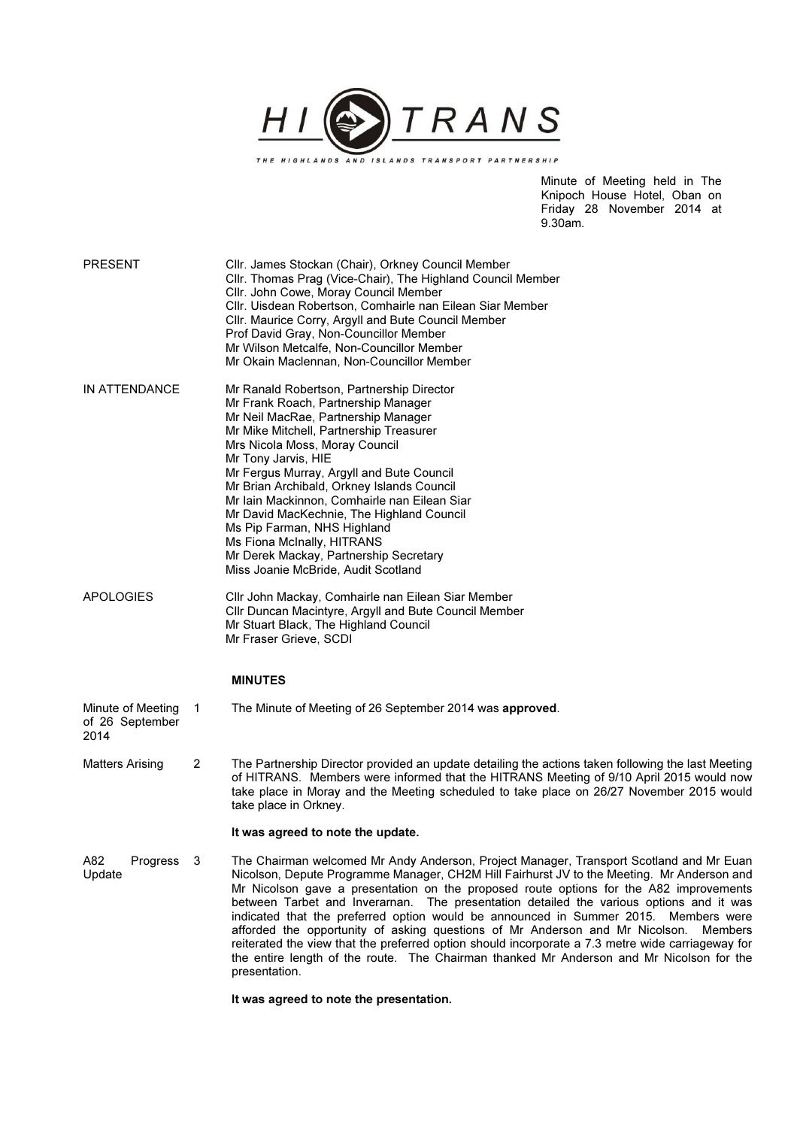

Minute of Meeting held in The Knipoch House Hotel, Oban on Friday 28 November 2014 at 9.30am.

| <b>PRESENT</b>                               |    | Cllr. James Stockan (Chair), Orkney Council Member<br>Cllr. Thomas Prag (Vice-Chair), The Highland Council Member<br>Cllr. John Cowe, Moray Council Member<br>Cllr. Uisdean Robertson, Comhairle nan Eilean Siar Member<br>Cllr. Maurice Corry, Argyll and Bute Council Member<br>Prof David Gray, Non-Councillor Member<br>Mr Wilson Metcalfe, Non-Councillor Member<br>Mr Okain Maclennan, Non-Councillor Member                                                                                                                                                                                                                                                                                                                                                             |
|----------------------------------------------|----|--------------------------------------------------------------------------------------------------------------------------------------------------------------------------------------------------------------------------------------------------------------------------------------------------------------------------------------------------------------------------------------------------------------------------------------------------------------------------------------------------------------------------------------------------------------------------------------------------------------------------------------------------------------------------------------------------------------------------------------------------------------------------------|
| IN ATTENDANCE                                |    | Mr Ranald Robertson, Partnership Director<br>Mr Frank Roach, Partnership Manager<br>Mr Neil MacRae, Partnership Manager<br>Mr Mike Mitchell, Partnership Treasurer<br>Mrs Nicola Moss, Moray Council<br>Mr Tony Jarvis, HIE<br>Mr Fergus Murray, Argyll and Bute Council<br>Mr Brian Archibald, Orkney Islands Council<br>Mr Iain Mackinnon, Comhairle nan Eilean Siar<br>Mr David MacKechnie, The Highland Council<br>Ms Pip Farman, NHS Highland<br>Ms Fiona McInally, HITRANS<br>Mr Derek Mackay, Partnership Secretary<br>Miss Joanie McBride, Audit Scotland                                                                                                                                                                                                              |
| APOLOGIES                                    |    | Cllr John Mackay, Comhairle nan Eilean Siar Member<br>Cllr Duncan Macintyre, Argyll and Bute Council Member<br>Mr Stuart Black, The Highland Council<br>Mr Fraser Grieve, SCDI                                                                                                                                                                                                                                                                                                                                                                                                                                                                                                                                                                                                 |
|                                              |    | <b>MINUTES</b>                                                                                                                                                                                                                                                                                                                                                                                                                                                                                                                                                                                                                                                                                                                                                                 |
| Minute of Meeting<br>of 26 September<br>2014 | 1  | The Minute of Meeting of 26 September 2014 was approved.                                                                                                                                                                                                                                                                                                                                                                                                                                                                                                                                                                                                                                                                                                                       |
| Matters Arising                              | 2  | The Partnership Director provided an update detailing the actions taken following the last Meeting<br>of HITRANS. Members were informed that the HITRANS Meeting of 9/10 April 2015 would now<br>take place in Moray and the Meeting scheduled to take place on 26/27 November 2015 would<br>take place in Orkney.                                                                                                                                                                                                                                                                                                                                                                                                                                                             |
|                                              |    | It was agreed to note the update.                                                                                                                                                                                                                                                                                                                                                                                                                                                                                                                                                                                                                                                                                                                                              |
| A82<br>Progress<br>Update                    | -3 | The Chairman welcomed Mr Andy Anderson, Project Manager, Transport Scotland and Mr Euan<br>Nicolson, Depute Programme Manager, CH2M Hill Fairhurst JV to the Meeting. Mr Anderson and<br>Mr Nicolson gave a presentation on the proposed route options for the A82 improvements<br>between Tarbet and Inverarnan. The presentation detailed the various options and it was<br>indicated that the preferred option would be announced in Summer 2015. Members were<br>afforded the opportunity of asking questions of Mr Anderson and Mr Nicolson.<br>Members<br>reiterated the view that the preferred option should incorporate a 7.3 metre wide carriageway for<br>the entire length of the route. The Chairman thanked Mr Anderson and Mr Nicolson for the<br>presentation. |
|                                              |    | It was agreed to note the presentation.                                                                                                                                                                                                                                                                                                                                                                                                                                                                                                                                                                                                                                                                                                                                        |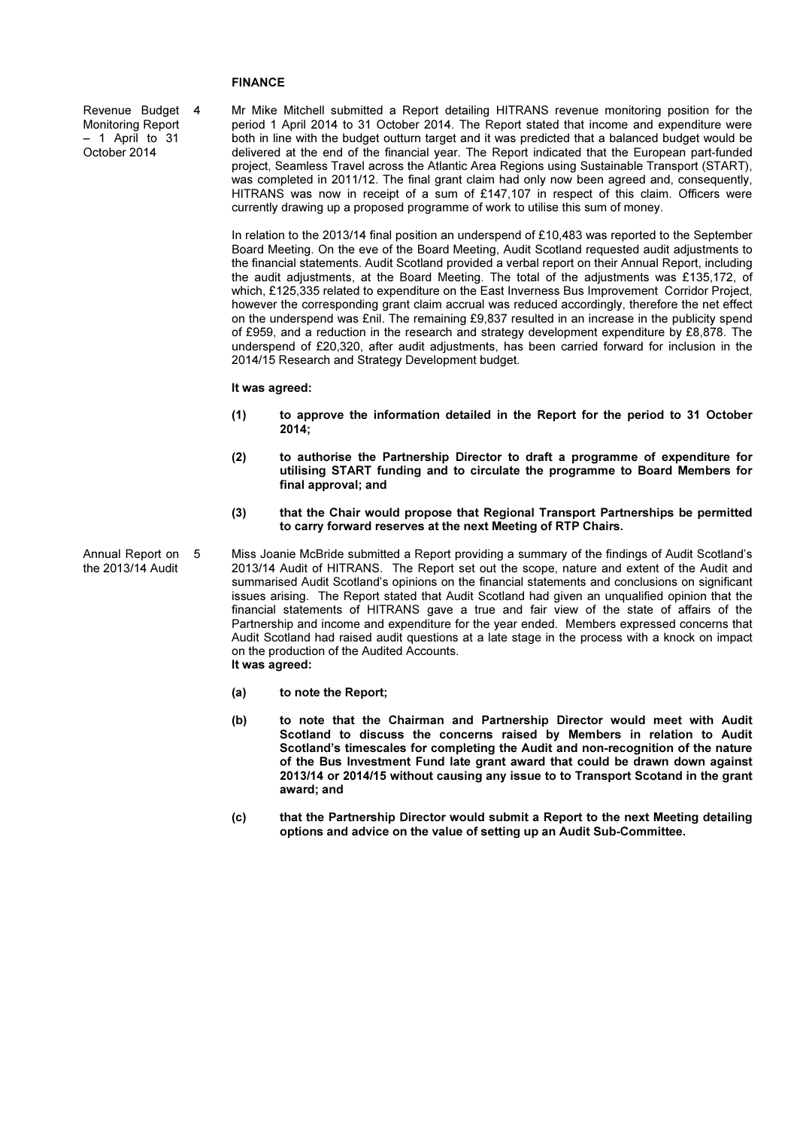# FINANCE

Revenue Budget Monitoring Report – 1 April to 31 October 2014

4 Mr Mike Mitchell submitted a Report detailing HITRANS revenue monitoring position for the period 1 April 2014 to 31 October 2014. The Report stated that income and expenditure were both in line with the budget outturn target and it was predicted that a balanced budget would be delivered at the end of the financial year. The Report indicated that the European part-funded project, Seamless Travel across the Atlantic Area Regions using Sustainable Transport (START), was completed in 2011/12. The final grant claim had only now been agreed and, consequently, HITRANS was now in receipt of a sum of £147,107 in respect of this claim. Officers were currently drawing up a proposed programme of work to utilise this sum of money.

In relation to the 2013/14 final position an underspend of £10,483 was reported to the September Board Meeting. On the eve of the Board Meeting, Audit Scotland requested audit adjustments to the financial statements. Audit Scotland provided a verbal report on their Annual Report, including the audit adjustments, at the Board Meeting. The total of the adjustments was £135,172, of which, £125,335 related to expenditure on the East Inverness Bus Improvement Corridor Project, however the corresponding grant claim accrual was reduced accordingly, therefore the net effect on the underspend was £nil. The remaining £9,837 resulted in an increase in the publicity spend of £959, and a reduction in the research and strategy development expenditure by £8,878. The underspend of £20,320, after audit adjustments, has been carried forward for inclusion in the 2014/15 Research and Strategy Development budget.

### It was agreed:

- (1) to approve the information detailed in the Report for the period to 31 October 2014;
- (2) to authorise the Partnership Director to draft a programme of expenditure for utilising START funding and to circulate the programme to Board Members for final approval; and
- (3) that the Chair would propose that Regional Transport Partnerships be permitted to carry forward reserves at the next Meeting of RTP Chairs.
- Annual Report on the 2013/14 Audit 5 Miss Joanie McBride submitted a Report providing a summary of the findings of Audit Scotland's 2013/14 Audit of HITRANS. The Report set out the scope, nature and extent of the Audit and summarised Audit Scotland's opinions on the financial statements and conclusions on significant issues arising. The Report stated that Audit Scotland had given an unqualified opinion that the financial statements of HITRANS gave a true and fair view of the state of affairs of the Partnership and income and expenditure for the year ended. Members expressed concerns that Audit Scotland had raised audit questions at a late stage in the process with a knock on impact on the production of the Audited Accounts. It was agreed:
	- (a) to note the Report;
	- (b) to note that the Chairman and Partnership Director would meet with Audit Scotland to discuss the concerns raised by Members in relation to Audit Scotland's timescales for completing the Audit and non-recognition of the nature of the Bus Investment Fund late grant award that could be drawn down against 2013/14 or 2014/15 without causing any issue to to Transport Scotand in the grant award; and
	- (c) that the Partnership Director would submit a Report to the next Meeting detailing options and advice on the value of setting up an Audit Sub-Committee.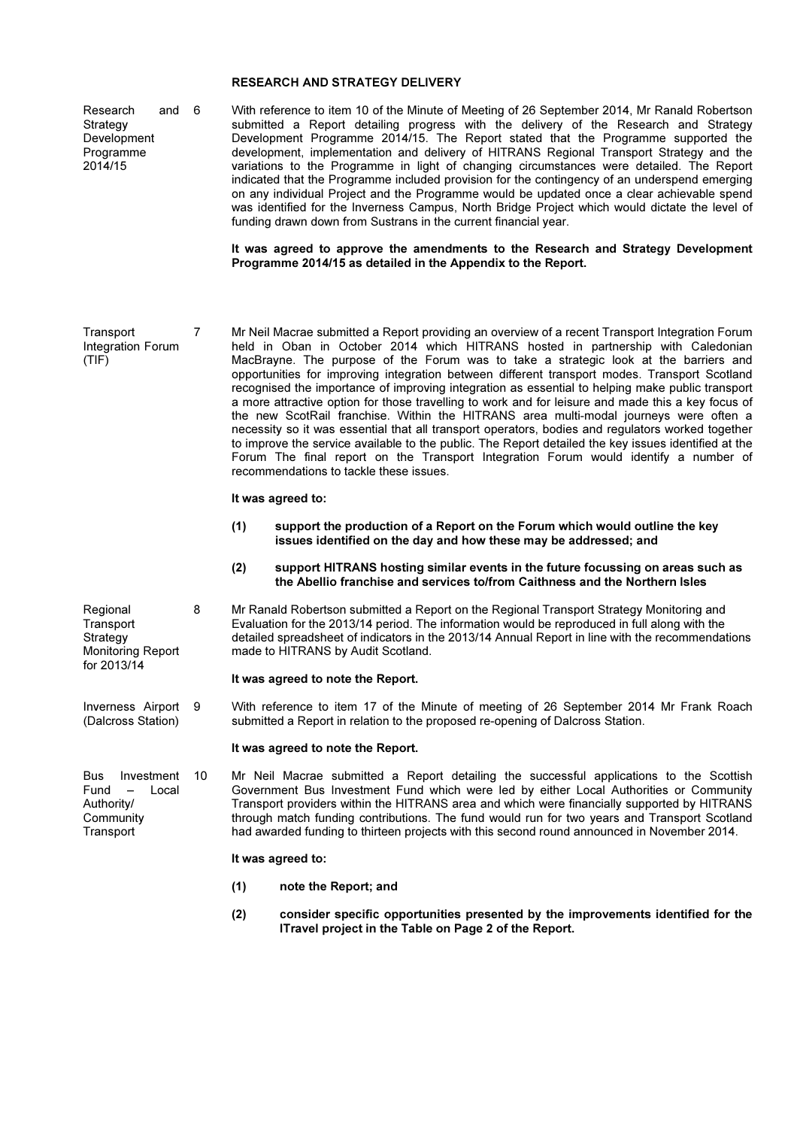# RESEARCH AND STRATEGY DELIVERY

Research and 6 **Strategy** Development Programme 2014/15 6 With reference to item 10 of the Minute of Meeting of 26 September 2014, Mr Ranald Robertson submitted a Report detailing progress with the delivery of the Research and Strategy Development Programme 2014/15. The Report stated that the Programme supported the development, implementation and delivery of HITRANS Regional Transport Strategy and the variations to the Programme in light of changing circumstances were detailed. The Report indicated that the Programme included provision for the contingency of an underspend emerging on any individual Project and the Programme would be updated once a clear achievable spend was identified for the Inverness Campus, North Bridge Project which would dictate the level of funding drawn down from Sustrans in the current financial year.

> It was agreed to approve the amendments to the Research and Strategy Development Programme 2014/15 as detailed in the Appendix to the Report.

**Transport** Integration Forum (TIF) 7 Mr Neil Macrae submitted a Report providing an overview of a recent Transport Integration Forum held in Oban in October 2014 which HITRANS hosted in partnership with Caledonian MacBrayne. The purpose of the Forum was to take a strategic look at the barriers and opportunities for improving integration between different transport modes. Transport Scotland recognised the importance of improving integration as essential to helping make public transport a more attractive option for those travelling to work and for leisure and made this a key focus of the new ScotRail franchise. Within the HITRANS area multi-modal journeys were often a necessity so it was essential that all transport operators, bodies and regulators worked together to improve the service available to the public. The Report detailed the key issues identified at the Forum The final report on the Transport Integration Forum would identify a number of recommendations to tackle these issues.

#### It was agreed to:

- (1) support the production of a Report on the Forum which would outline the key issues identified on the day and how these may be addressed; and
- (2) support HITRANS hosting similar events in the future focussing on areas such as the Abellio franchise and services to/from Caithness and the Northern Isles
- **Regional Transport** Strategy Monitoring Report for 2013/14 8 Mr Ranald Robertson submitted a Report on the Regional Transport Strategy Monitoring and Evaluation for the 2013/14 period. The information would be reproduced in full along with the detailed spreadsheet of indicators in the 2013/14 Annual Report in line with the recommendations made to HITRANS by Audit Scotland.

#### It was agreed to note the Report.

Inverness Airport (Dalcross Station) With reference to item 17 of the Minute of meeting of 26 September 2014 Mr Frank Roach submitted a Report in relation to the proposed re-opening of Dalcross Station.

#### It was agreed to note the Report.

Bus Investment Fund – Local Authority/ **Community Transport** 

10 Mr Neil Macrae submitted a Report detailing the successful applications to the Scottish Government Bus Investment Fund which were led by either Local Authorities or Community Transport providers within the HITRANS area and which were financially supported by HITRANS through match funding contributions. The fund would run for two years and Transport Scotland had awarded funding to thirteen projects with this second round announced in November 2014.

#### It was agreed to:

- (1) note the Report; and
- (2) consider specific opportunities presented by the improvements identified for the ITravel project in the Table on Page 2 of the Report.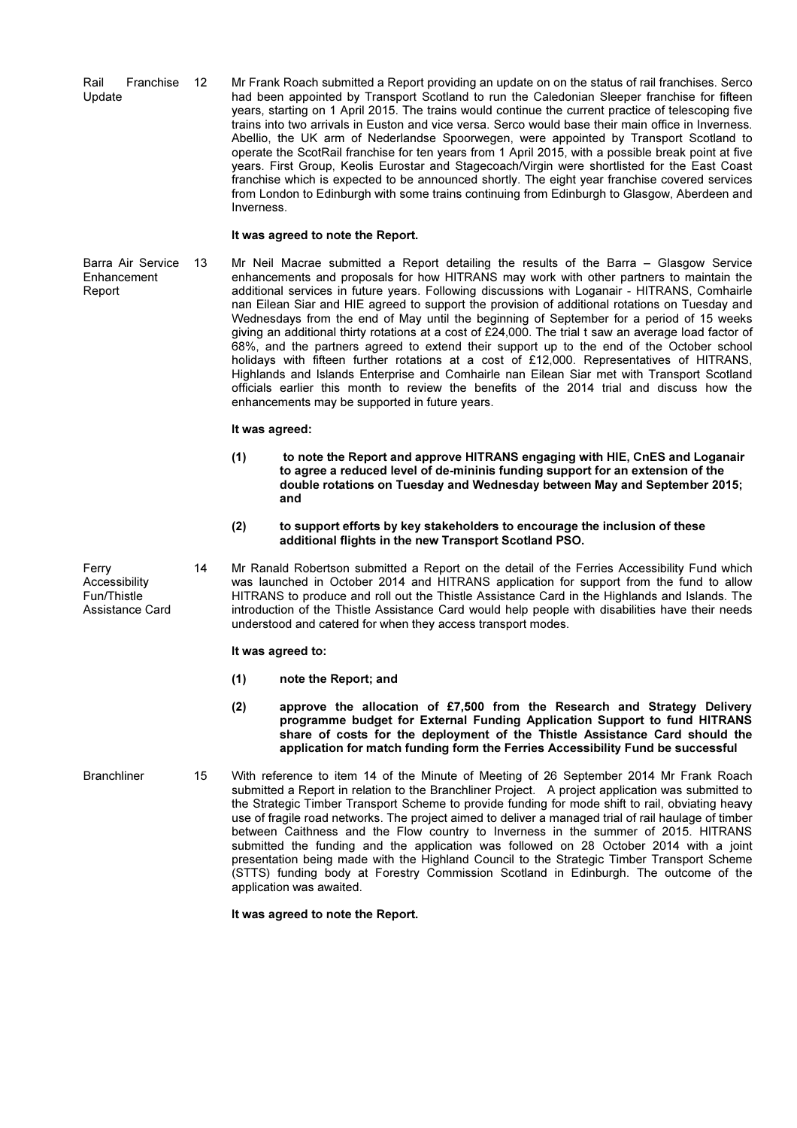Rail Franchise Update 12 Mr Frank Roach submitted a Report providing an update on on the status of rail franchises. Serco had been appointed by Transport Scotland to run the Caledonian Sleeper franchise for fifteen years, starting on 1 April 2015. The trains would continue the current practice of telescoping five trains into two arrivals in Euston and vice versa. Serco would base their main office in Inverness. Abellio, the UK arm of Nederlandse Spoorwegen, were appointed by Transport Scotland to operate the ScotRail franchise for ten years from 1 April 2015, with a possible break point at five years. First Group, Keolis Eurostar and Stagecoach/Virgin were shortlisted for the East Coast franchise which is expected to be announced shortly. The eight year franchise covered services from London to Edinburgh with some trains continuing from Edinburgh to Glasgow, Aberdeen and **Inverness** 

## It was agreed to note the Report.

Barra Air Service Enhancement Report

 $Mr$  Neil Macrae submitted a Report detailing the results of the Barra  $-$  Glasgow Service enhancements and proposals for how HITRANS may work with other partners to maintain the additional services in future years. Following discussions with Loganair - HITRANS, Comhairle nan Eilean Siar and HIE agreed to support the provision of additional rotations on Tuesday and Wednesdays from the end of May until the beginning of September for a period of 15 weeks giving an additional thirty rotations at a cost of £24,000. The trial t saw an average load factor of 68%, and the partners agreed to extend their support up to the end of the October school holidays with fifteen further rotations at a cost of £12,000. Representatives of HITRANS, Highlands and Islands Enterprise and Comhairle nan Eilean Siar met with Transport Scotland officials earlier this month to review the benefits of the 2014 trial and discuss how the enhancements may be supported in future years.

## It was agreed:

- (1) to note the Report and approve HITRANS engaging with HIE, CnES and Loganair to agree a reduced level of de-mininis funding support for an extension of the double rotations on Tuesday and Wednesday between May and September 2015; and
- (2) to support efforts by key stakeholders to encourage the inclusion of these additional flights in the new Transport Scotland PSO.
- 14 Mr Ranald Robertson submitted a Report on the detail of the Ferries Accessibility Fund which was launched in October 2014 and HITRANS application for support from the fund to allow HITRANS to produce and roll out the Thistle Assistance Card in the Highlands and Islands. The introduction of the Thistle Assistance Card would help people with disabilities have their needs understood and catered for when they access transport modes.

# It was agreed to:

- (1) note the Report; and
- (2) approve the allocation of £7,500 from the Research and Strategy Delivery programme budget for External Funding Application Support to fund HITRANS share of costs for the deployment of the Thistle Assistance Card should the application for match funding form the Ferries Accessibility Fund be successful
- Branchliner 15 With reference to item 14 of the Minute of Meeting of 26 September 2014 Mr Frank Roach submitted a Report in relation to the Branchliner Project. A project application was submitted to the Strategic Timber Transport Scheme to provide funding for mode shift to rail, obviating heavy use of fragile road networks. The project aimed to deliver a managed trial of rail haulage of timber between Caithness and the Flow country to Inverness in the summer of 2015. HITRANS submitted the funding and the application was followed on 28 October 2014 with a joint presentation being made with the Highland Council to the Strategic Timber Transport Scheme (STTS) funding body at Forestry Commission Scotland in Edinburgh. The outcome of the application was awaited.

It was agreed to note the Report.

Ferry Accessibility Fun/Thistle Assistance Card